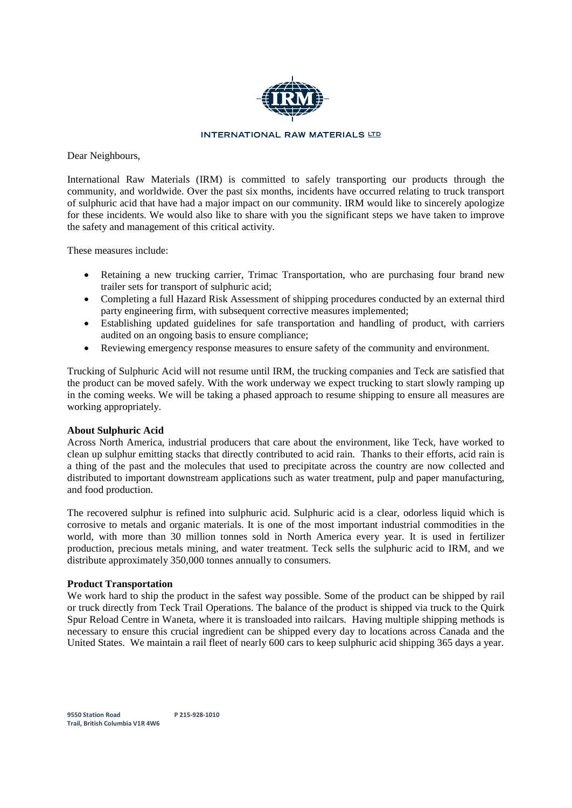

### **INTERNATIONAL RAW MATERIALS LTD**

Dear Neighbours,

International Raw Materials (IRM) is committed to safely transporting our products through the community, and worldwide. Over the past six months, incidents have occurred relating to truck transport of sulphuric acid that have had a major impact on our community. IRM would like to sincerely apologize for these incidents. We would also like to share with you the significant steps we have taken to improve the safety and management of this critical activity.

These measures include:

- Retaining a new trucking carrier, Trimac Transportation, who are purchasing four brand new trailer sets for transport of sulphuric acid;
- Completing a full Hazard Risk Assessment of shipping procedures conducted by an external third • Completing a full Hazard Risk Assessment of shipping procedures conduct party engineering firm, with subsequent corrective measures implemented;
- Establishing updated guidelines for safe transportation and handling of product, with carriers audited on an ongoing basis to ensure compliance;
- $\bullet$ Reviewing emergency response measures to ensure safety of the community and environment.

Trucking of Sulphuric Acid will not resume until IRM, the trucking companies and Teck are satisfied that the product can be moved safely. With the work underway we expect trucking to start slowly ramping up in the coming weeks. We will be taking a phased approach to resume shipping to ensure all measures are working appropriately.

# **About Sulphuric Acid**

Across North America, industrial producers that care about the environment, like Teck, have worked to clean up sulphur emitting stacks that directly contributed to acid rain. Thanks to their efforts, acid rain is a thing of the past and the molecules that used to precipitate across the country are now collected and distributed to important downstream applications such as water treatment, pulp and paper manufacturing, and food production.

The recovered sulphur is refined into sulphuric acid. Sulphuric acid is a clear, odorless liquid which is corrosive to metals and organic materials. It is one of the most important industrial commodities in the world, with more than 30 million tonnes sold in North America every year. It is used in fertilizer production, precious metals mining, and water treatment. Teck sells the sulphuric acid to IRM, and we distribute approximately 350,000 tonnes annually to consumers.

### **Product Transportation**

We work hard to ship the product in the safest way possible. Some of the product can be shipped by rail or truck directly from Teck Trail Operations. The balance of the product is shipped via truck to the Quirk Spur Reload Centre in Waneta, where it is transloaded into railcars. Having multiple shipping methods is necessary to ensure this crucial ingredient can be shipped every day to locations across Canada and the United States. We maintain a rail fleet of nearly 600 cars to keep sulphuric acid shipping 365 days a year.